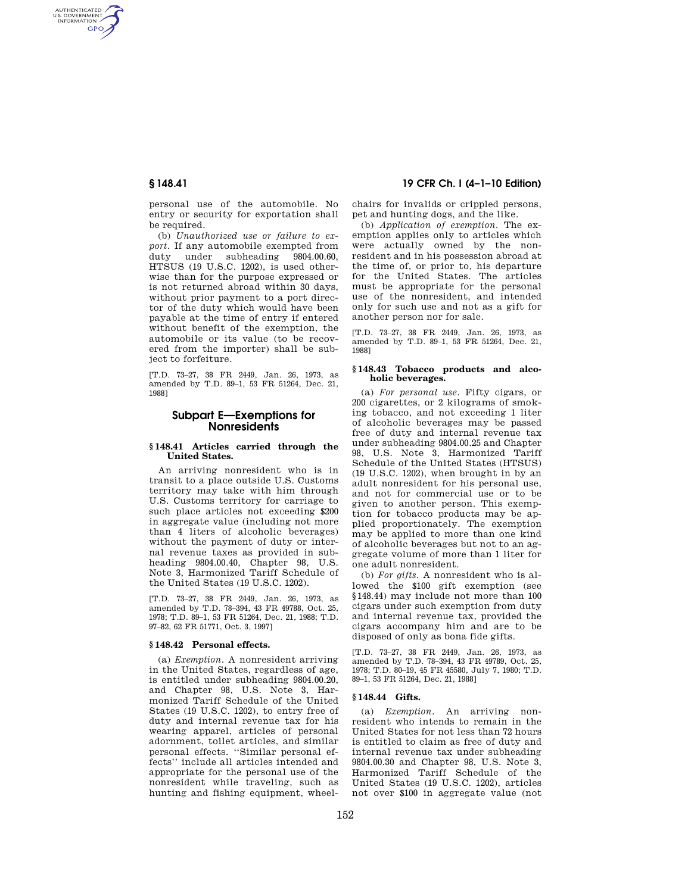AUTHENTICATED<br>U.S. GOVERNMENT<br>INFORMATION **GPO** 

> personal use of the automobile. No entry or security for exportation shall be required.

> (b) *Unauthorized use or failure to export.* If any automobile exempted from duty under subheading 9804.00.60, HTSUS (19 U.S.C. 1202), is used otherwise than for the purpose expressed or is not returned abroad within 30 days, without prior payment to a port director of the duty which would have been payable at the time of entry if entered without benefit of the exemption, the automobile or its value (to be recovered from the importer) shall be subject to forfeiture.

[T.D. 73–27, 38 FR 2449, Jan. 26, 1973, as amended by T.D. 89–1, 53 FR 51264, Dec. 21, 1988]

# **Subpart E—Exemptions for Nonresidents**

#### **§ 148.41 Articles carried through the United States.**

An arriving nonresident who is in transit to a place outside U.S. Customs territory may take with him through U.S. Customs territory for carriage to such place articles not exceeding \$200 in aggregate value (including not more than 4 liters of alcoholic beverages) without the payment of duty or internal revenue taxes as provided in subheading 9804.00.40, Chapter 98, U.S. Note 3, Harmonized Tariff Schedule of the United States (19 U.S.C. 1202).

[T.D. 73–27, 38 FR 2449, Jan. 26, 1973, as amended by T.D. 78–394, 43 FR 49788, Oct. 25, 1978; T.D. 89–1, 53 FR 51264, Dec. 21, 1988; T.D. 97–82, 62 FR 51771, Oct. 3, 1997]

#### **§ 148.42 Personal effects.**

(a) *Exemption.* A nonresident arriving in the United States, regardless of age, is entitled under subheading 9804.00.20, and Chapter 98, U.S. Note 3, Harmonized Tariff Schedule of the United States (19 U.S.C. 1202), to entry free of duty and internal revenue tax for his wearing apparel, articles of personal adornment, toilet articles, and similar personal effects. ''Similar personal effects'' include all articles intended and appropriate for the personal use of the nonresident while traveling, such as hunting and fishing equipment, wheel-

# **§ 148.41 19 CFR Ch. I (4–1–10 Edition)**

chairs for invalids or crippled persons, pet and hunting dogs, and the like.

(b) *Application of exemption.* The exemption applies only to articles which were actually owned by the nonresident and in his possession abroad at the time of, or prior to, his departure for the United States. The articles must be appropriate for the personal use of the nonresident, and intended only for such use and not as a gift for another person nor for sale.

[T.D. 73–27, 38 FR 2449, Jan. 26, 1973, as amended by T.D. 89–1, 53 FR 51264, Dec. 21, 1988]

#### **§ 148.43 Tobacco products and alcoholic beverages.**

(a) *For personal use.* Fifty cigars, or 200 cigarettes, or 2 kilograms of smoking tobacco, and not exceeding 1 liter of alcoholic beverages may be passed free of duty and internal revenue tax under subheading 9804.00.25 and Chapter 98, U.S. Note 3, Harmonized Tariff Schedule of the United States (HTSUS) (19 U.S.C. 1202), when brought in by an adult nonresident for his personal use, and not for commercial use or to be given to another person. This exemption for tobacco products may be applied proportionately. The exemption may be applied to more than one kind of alcoholic beverages but not to an aggregate volume of more than 1 liter for one adult nonresident.

(b) *For gifts.* A nonresident who is allowed the \$100 gift exemption (see §148.44) may include not more than 100 cigars under such exemption from duty and internal revenue tax, provided the cigars accompany him and are to be disposed of only as bona fide gifts.

[T.D. 73–27, 38 FR 2449, Jan. 26, 1973, as amended by T.D. 78–394, 43 FR 49789, Oct. 25, 1978; T.D. 80–19, 45 FR 45580, July 7, 1980; T.D. 89–1, 53 FR 51264, Dec. 21, 1988]

## **§ 148.44 Gifts.**

(a) *Exemption.* An arriving nonresident who intends to remain in the United States for not less than 72 hours is entitled to claim as free of duty and internal revenue tax under subheading 9804.00.30 and Chapter 98, U.S. Note 3, Harmonized Tariff Schedule of the United States (19 U.S.C. 1202), articles not over \$100 in aggregate value (not